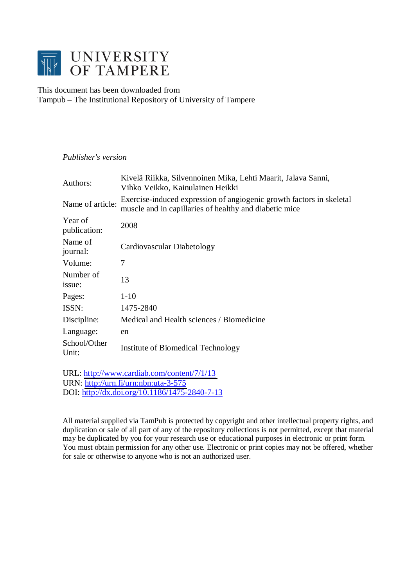

## This document has been downloaded from Tampub – The Institutional Repository of University of Tampere

## *Publisher's version*

| Authors:                | Kivelä Riikka, Silvennoinen Mika, Lehti Maarit, Jalava Sanni,<br>Vihko Veikko, Kainulainen Heikki                              |
|-------------------------|--------------------------------------------------------------------------------------------------------------------------------|
| Name of article:        | Exercise-induced expression of angiogenic growth factors in skeletal<br>muscle and in capillaries of healthy and diabetic mice |
| Year of<br>publication: | 2008                                                                                                                           |
| Name of<br>journal:     | Cardiovascular Diabetology                                                                                                     |
| Volume:                 | 7                                                                                                                              |
| Number of<br>issue:     | 13                                                                                                                             |
| Pages:                  | $1-10$                                                                                                                         |
| ISSN:                   | 1475-2840                                                                                                                      |
| Discipline:             | Medical and Health sciences / Biomedicine                                                                                      |
| Language:               | en                                                                                                                             |
| School/Other<br>Unit:   | Institute of Biomedical Technology                                                                                             |
|                         |                                                                                                                                |

URL: <http://www.cardiab.com/content/7/1/13> URN: <http://urn.fi/urn:nbn:uta-3-575> DOI: <http://dx.doi.org/10.1186/1475-2840-7-13>

All material supplied via TamPub is protected by copyright and other intellectual property rights, and duplication or sale of all part of any of the repository collections is not permitted, except that material may be duplicated by you for your research use or educational purposes in electronic or print form. You must obtain permission for any other use. Electronic or print copies may not be offered, whether for sale or otherwise to anyone who is not an authorized user.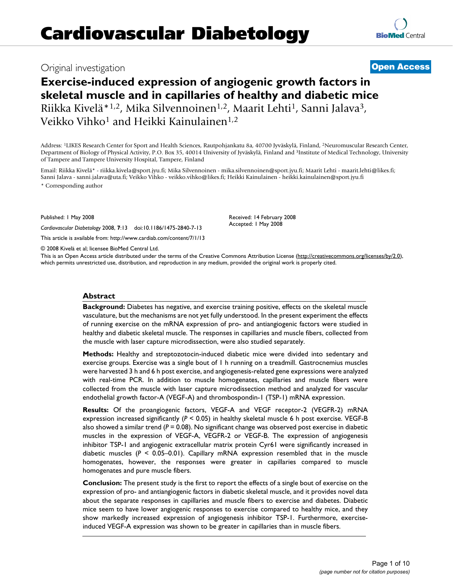# Original investigation **[Open Access](http://www.biomedcentral.com/info/about/charter/)**

# **Exercise-induced expression of angiogenic growth factors in skeletal muscle and in capillaries of healthy and diabetic mice** Riikka Kivelä<sup>\* 1,2</sup>, Mika Silvennoinen<sup>1,2</sup>, Maarit Lehti<sup>1</sup>, Sanni Jalava<sup>3</sup>, Veikko Vihko<sup>1</sup> and Heikki Kainulainen<sup>1,2</sup>

Address: 1LIKES Research Center for Sport and Health Sciences, Rautpohjankatu 8a, 40700 Jyväskylä, Finland, 2Neuromuscular Research Center, Department of Biology of Physical Activity, P.O. Box 35, 40014 University of Jyväskylä, Finland and 3Institute of Medical Technology, University of Tampere and Tampere University Hospital, Tampere, Finland

Email: Riikka Kivelä\* - riikka.kivela@sport.jyu.fi; Mika Silvennoinen - mika.silvennoinen@sport.jyu.fi; Maarit Lehti - maarit.lehti@likes.fi; Sanni Jalava - sanni.jalava@uta.fi; Veikko Vihko - veikko.vihko@likes.fi; Heikki Kainulainen - heikki.kainulainen@sport.jyu.fi \* Corresponding author

Published: 1 May 2008

*Cardiovascular Diabetology* 2008, **7**:13 doi:10.1186/1475-2840-7-13

[This article is available from: http://www.cardiab.com/content/7/1/13](http://www.cardiab.com/content/7/1/13)

© 2008 Kivelä et al; licensee BioMed Central Ltd.

This is an Open Access article distributed under the terms of the Creative Commons Attribution License [\(http://creativecommons.org/licenses/by/2.0\)](http://creativecommons.org/licenses/by/2.0), which permits unrestricted use, distribution, and reproduction in any medium, provided the original work is properly cited.

#### **Abstract**

**Background:** Diabetes has negative, and exercise training positive, effects on the skeletal muscle vasculature, but the mechanisms are not yet fully understood. In the present experiment the effects of running exercise on the mRNA expression of pro- and antiangiogenic factors were studied in healthy and diabetic skeletal muscle. The responses in capillaries and muscle fibers, collected from the muscle with laser capture microdissection, were also studied separately.

**Methods:** Healthy and streptozotocin-induced diabetic mice were divided into sedentary and exercise groups. Exercise was a single bout of 1 h running on a treadmill. Gastrocnemius muscles were harvested 3 h and 6 h post exercise, and angiogenesis-related gene expressions were analyzed with real-time PCR. In addition to muscle homogenates, capillaries and muscle fibers were collected from the muscle with laser capture microdissection method and analyzed for vascular endothelial growth factor-A (VEGF-A) and thrombospondin-1 (TSP-1) mRNA expression.

**Results:** Of the proangiogenic factors, VEGF-A and VEGF receptor-2 (VEGFR-2) mRNA expression increased significantly (*P* < 0.05) in healthy skeletal muscle 6 h post exercise. VEGF-B also showed a similar trend (*P* = 0.08). No significant change was observed post exercise in diabetic muscles in the expression of VEGF-A, VEGFR-2 or VEGF-B. The expression of angiogenesis inhibitor TSP-1 and angiogenic extracellular matrix protein Cyr61 were significantly increased in diabetic muscles (*P* < 0.05–0.01). Capillary mRNA expression resembled that in the muscle homogenates, however, the responses were greater in capillaries compared to muscle homogenates and pure muscle fibers.

**Conclusion:** The present study is the first to report the effects of a single bout of exercise on the expression of pro- and antiangiogenic factors in diabetic skeletal muscle, and it provides novel data about the separate responses in capillaries and muscle fibers to exercise and diabetes. Diabetic mice seem to have lower angiogenic responses to exercise compared to healthy mice, and they show markedly increased expression of angiogenesis inhibitor TSP-1. Furthermore, exerciseinduced VEGF-A expression was shown to be greater in capillaries than in muscle fibers.

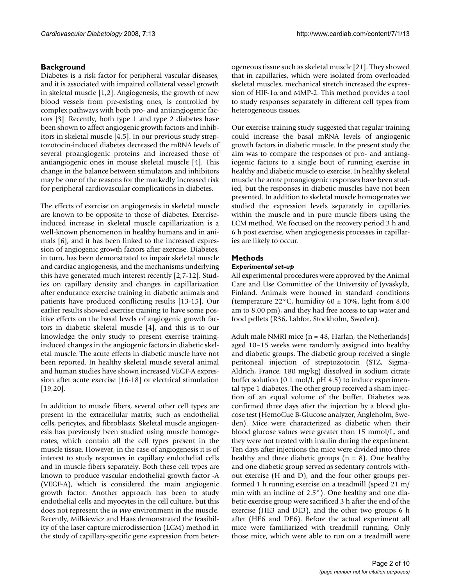## **Background**

Diabetes is a risk factor for peripheral vascular diseases, and it is associated with impaired collateral vessel growth in skeletal muscle [1,2]. Angiogenesis, the growth of new blood vessels from pre-existing ones, is controlled by complex pathways with both pro- and antiangiogenic factors [3]. Recently, both type 1 and type 2 diabetes have been shown to affect angiogenic growth factors and inhibitors in skeletal muscle [4,5]. In our previous study streptozotocin-induced diabetes decreased the mRNA levels of several proangiogenic proteins and increased those of antiangiogenic ones in mouse skeletal muscle [4]. This change in the balance between stimulators and inhibitors may be one of the reasons for the markedly increased risk for peripheral cardiovascular complications in diabetes.

The effects of exercise on angiogenesis in skeletal muscle are known to be opposite to those of diabetes. Exerciseinduced increase in skeletal muscle capillarization is a well-known phenomenon in healthy humans and in animals [6], and it has been linked to the increased expression of angiogenic growth factors after exercise. Diabetes, in turn, has been demonstrated to impair skeletal muscle and cardiac angiogenesis, and the mechanisms underlying this have generated much interest recently [2,7-12]. Studies on capillary density and changes in capillarization after endurance exercise training in diabetic animals and patients have produced conflicting results [13-15]. Our earlier results showed exercise training to have some positive effects on the basal levels of angiogenic growth factors in diabetic skeletal muscle [4], and this is to our knowledge the only study to present exercise traininginduced changes in the angiogenic factors in diabetic skeletal muscle. The acute effects in diabetic muscle have not been reported. In healthy skeletal muscle several animal and human studies have shown increased VEGF-A expression after acute exercise [16-18] or electrical stimulation [19,20].

In addition to muscle fibers, several other cell types are present in the extracellular matrix, such as endothelial cells, pericytes, and fibroblasts. Skeletal muscle angiogenesis has previously been studied using muscle homogenates, which contain all the cell types present in the muscle tissue. However, in the case of angiogenesis it is of interest to study responses in capillary endothelial cells and in muscle fibers separately. Both these cell types are known to produce vascular endothelial growth factor -A (VEGF-A), which is considered the main angiogenic growth factor. Another approach has been to study endothelial cells and myocytes in the cell culture, but this does not represent the *in vivo* environment in the muscle. Recently, Milkiewicz and Haas demonstrated the feasibility of the laser capture microdissection (LCM) method in the study of capillary-specific gene expression from heterogeneous tissue such as skeletal muscle [21]. They showed that in capillaries, which were isolated from overloaded skeletal muscles, mechanical stretch increased the expression of HIF-1 $\alpha$  and MMP-2. This method provides a tool to study responses separately in different cell types from heterogeneous tissues.

Our exercise training study suggested that regular training could increase the basal mRNA levels of angiogenic growth factors in diabetic muscle. In the present study the aim was to compare the responses of pro- and antiangiogenic factors to a single bout of running exercise in healthy and diabetic muscle to exercise. In healthy skeletal muscle the acute proangiogenic responses have been studied, but the responses in diabetic muscles have not been presented. In addition to skeletal muscle homogenates we studied the expression levels separately in capillaries within the muscle and in pure muscle fibers using the LCM method. We focused on the recovery period 3 h and 6 h post exercise, when angiogenesis processes in capillaries are likely to occur.

## **Methods**

## *Experimental set-up*

All experimental procedures were approved by the Animal Care and Use Committee of the University of Jyväskylä, Finland. Animals were housed in standard conditions (temperature 22 $\degree$ C, humidity 60  $\pm$  10%, light from 8.00 am to 8.00 pm), and they had free access to tap water and food pellets (R36, Labfor, Stockholm, Sweden).

Adult male NMRI mice ( $n = 48$ , Harlan, the Netherlands) aged 10–15 weeks were randomly assigned into healthy and diabetic groups. The diabetic group received a single peritoneal injection of streptozotocin (STZ, Sigma-Aldrich, France, 180 mg/kg) dissolved in sodium citrate buffer solution (0.1 mol/l, pH 4.5) to induce experimental type 1 diabetes. The other group received a sham injection of an equal volume of the buffer. Diabetes was confirmed three days after the injection by a blood glucose test (HemoCue B-Glucose analyzer, Ängleholm, Sweden). Mice were characterized as diabetic when their blood glucose values were greater than 15 mmol/L, and they were not treated with insulin during the experiment. Ten days after injections the mice were divided into three healthy and three diabetic groups  $(n = 8)$ . One healthy and one diabetic group served as sedentary controls without exercise (H and D), and the four other groups performed 1 h running exercise on a treadmill (speed 21 m/ min with an incline of 2.5°). One healthy and one diabetic exercise group were sacrificed 3 h after the end of the exercise (HE3 and DE3), and the other two groups 6 h after (HE6 and DE6). Before the actual experiment all mice were familiarized with treadmill running. Only those mice, which were able to run on a treadmill were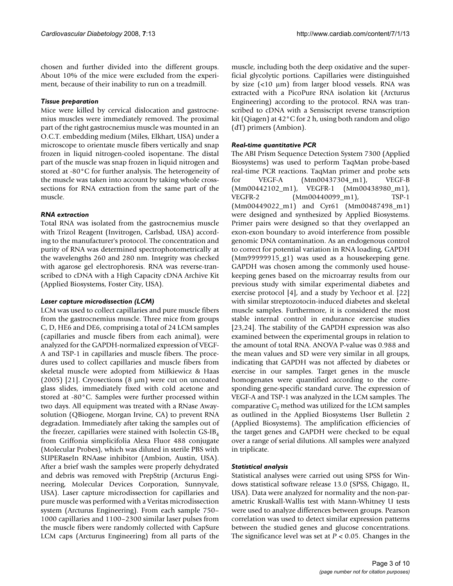chosen and further divided into the different groups. About 10% of the mice were excluded from the experiment, because of their inability to run on a treadmill.

### *Tissue preparation*

Mice were killed by cervical dislocation and gastrocnemius muscles were immediately removed. The proximal part of the right gastrocnemius muscle was mounted in an O.C.T. embedding medium (Miles, Elkhart, USA) under a microscope to orientate muscle fibers vertically and snap frozen in liquid nitrogen-cooled isopentane. The distal part of the muscle was snap frozen in liquid nitrogen and stored at -80°C for further analysis. The heterogeneity of the muscle was taken into account by taking whole crosssections for RNA extraction from the same part of the muscle.

## *RNA extraction*

Total RNA was isolated from the gastrocnemius muscle with Trizol Reagent (Invitrogen, Carlsbad, USA) according to the manufacturer's protocol. The concentration and purity of RNA was determined spectrophotometrically at the wavelengths 260 and 280 nm. Integrity was checked with agarose gel electrophoresis. RNA was reverse-transcribed to cDNA with a High Capacity cDNA Archive Kit (Applied Biosystems, Foster City, USA).

## *Laser capture microdissection (LCM)*

LCM was used to collect capillaries and pure muscle fibers from the gastrocnemius muscle. Three mice from groups C, D, HE6 and DE6, comprising a total of 24 LCM samples (capillaries and muscle fibers from each animal), were analyzed for the GAPDH-normalized expression of VEGF-A and TSP-1 in capillaries and muscle fibers. The procedures used to collect capillaries and muscle fibers from skeletal muscle were adopted from Milkiewicz & Haas (2005) [21]. Cryosections (8 μm) were cut on uncoated glass slides, immediately fixed with cold acetone and stored at -80°C. Samples were further processed within two days. All equipment was treated with a RNase Awaysolution (QBiogene, Morgan Irvine, CA) to prevent RNA degradation. Immediately after taking the samples out of the freezer, capillaries were stained with Isolectin  $GS-IB_4$ from Griffonia simplicifolia Alexa Fluor 488 conjugate (Molecular Probes), which was diluted in sterile PBS with SUPERaseIn RNAase inhibitor (Ambion, Austin, USA). After a brief wash the samples were properly dehydrated and debris was removed with PrepStrip (Arcturus Engineering, Molecular Devices Corporation, Sunnyvale, USA). Laser capture microdissection for capillaries and pure muscle was performed with a Veritas microdissection system (Arcturus Engineering). From each sample 750– 1000 capillaries and 1100–2300 similar laser pulses from the muscle fibers were randomly collected with CapSure LCM caps (Arcturus Engineering) from all parts of the

muscle, including both the deep oxidative and the superficial glycolytic portions. Capillaries were distinguished by size (<10 μm) from larger blood vessels. RNA was extracted with a PicoPure RNA isolation kit (Arcturus Engineering) according to the protocol. RNA was transcribed to cDNA with a Sensiscript reverse transcription kit (Qiagen) at 42°C for 2 h, using both random and oligo (dT) primers (Ambion).

## *Real-time quantitative PCR*

The ABI Prism Sequence Detection System 7300 (Applied Biosystems) was used to perform TaqMan probe-based real-time PCR reactions. TaqMan primer and probe sets for VEGF-A (Mm00437304\_m1), VEGF-B (Mm00442102\_m1), VEGFR-1 (Mm00438980\_m1), VEGFR-2 (Mm00440099\_m1), TSP-1 (Mm00449022\_m1) and Cyr61 (Mm00487498\_m1) were designed and synthesized by Applied Biosystems. Primer pairs were designed so that they overlapped an exon-exon boundary to avoid interference from possible genomic DNA contamination. As an endogenous control to correct for potential variation in RNA loading, GAPDH (Mm99999915\_g1) was used as a housekeeping gene. GAPDH was chosen among the commonly used housekeeping genes based on the microarray results from our previous study with similar experimental diabetes and exercise protocol [4], and a study by Yechoor et al. [22] with similar streptozotocin-induced diabetes and skeletal muscle samples. Furthermore, it is considered the most stable internal control in endurance exercise studies [23,24]. The stability of the GAPDH expression was also examined between the experimental groups in relation to the amount of total RNA. ANOVA P-value was 0.988 and the mean values and SD were very similar in all groups, indicating that GAPDH was not affected by diabetes or exercise in our samples. Target genes in the muscle homogenates were quantified according to the corresponding gene-specific standard curve. The expression of VEGF-A and TSP-1 was analyzed in the LCM samples. The comparative  $C_T$  method was utilized for the LCM samples as outlined in the Applied Biosystems User Bulletin 2 (Applied Biosystems). The amplification efficiencies of the target genes and GAPDH were checked to be equal over a range of serial dilutions. All samples were analyzed in triplicate.

## *Statistical analysis*

Statistical analyses were carried out using SPSS for Windows statistical software release 13.0 (SPSS, Chigago, IL, USA). Data were analyzed for normality and the non-parametric Kruskall-Wallis test with Mann-Whitney U tests were used to analyze differences between groups. Pearson correlation was used to detect similar expression patterns between the studied genes and glucose concentrations. The significance level was set at *P* < 0.05. Changes in the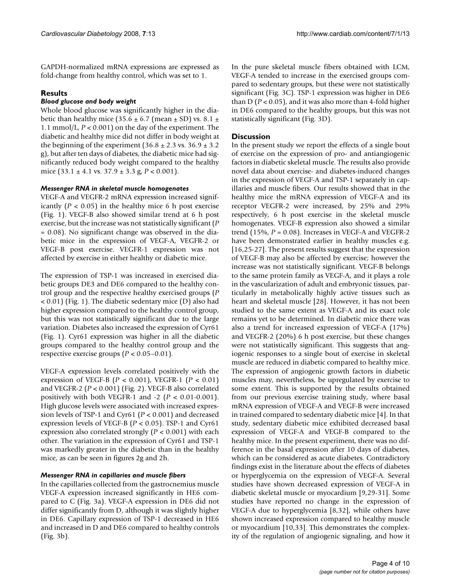GAPDH-normalized mRNA expressions are expressed as fold-change from healthy control, which was set to 1.

## **Results**

## *Blood glucose and body weight*

Whole blood glucose was significantly higher in the diabetic than healthy mice (35.6  $\pm$  6.7 (mean  $\pm$  SD) vs. 8.1  $\pm$ 1.1 mmol/L, *P* < 0.001) on the day of the experiment. The diabetic and healthy mice did not differ in body weight at the beginning of the experiment  $(36.8 \pm 2.3 \text{ vs. } 36.9 \pm 3.2 \text{ s})$ g), but after ten days of diabetes, the diabetic mice had significantly reduced body weight compared to the healthy mice  $(33.1 \pm 4.1 \text{ vs. } 37.9 \pm 3.3 \text{ g}, P < 0.001)$ .

## *Messenger RNA in skeletal muscle homogenates*

VEGF-A and VEGFR-2 mRNA expression increased significantly  $(P < 0.05)$  in the healthy mice 6 h post exercise (Fig. 1). VEGF-B also showed similar trend at 6 h post exercise, but the increase was not statistically significant (*P* = 0.08). No significant change was observed in the diabetic mice in the expression of VEGF-A, VEGFR-2 or VEGF-B post exercise. VEGFR-1 expression was not affected by exercise in either healthy or diabetic mice.

The expression of TSP-1 was increased in exercised diabetic groups DE3 and DE6 compared to the healthy control group and the respective healthy exercised groups (*P* < 0.01) (Fig. 1). The diabetic sedentary mice (D) also had higher expression compared to the healthy control group, but this was not statistically significant due to the large variation. Diabetes also increased the expression of Cyr61 (Fig. 1). Cyr61 expression was higher in all the diabetic groups compared to the healthy control group and the respective exercise groups (*P* < 0.05–0.01).

VEGF-A expression levels correlated positively with the expression of VEGF-B (*P* < 0.001), VEGFR-1 (*P* < 0.01) and VEGFR-2 (*P* < 0.001) (Fig. 2). VEGF-B also correlated positively with both VEGFR-1 and -2 (*P* < 0.01-0.001). High glucose levels were associated with increased expression levels of TSP-1 and Cyr61 (*P* < 0.001) and decreased expression levels of VEGF-B (*P* < 0.05). TSP-1 and Cyr61 expression also correlated strongly (*P* < 0.001) with each other. The variation in the expression of Cyr61 and TSP-1 was markedly greater in the diabetic than in the healthy mice, as can be seen in figures 2g and 2h.

## *Messenger RNA in capillaries and muscle fibers*

In the capillaries collected from the gastrocnemius muscle VEGF-A expression increased significantly in HE6 compared to C (Fig. 3a). VEGF-A expression in DE6 did not differ significantly from D, although it was slightly higher in DE6. Capillary expression of TSP-1 decreased in HE6 and increased in D and DE6 compared to healthy controls (Fig. 3b).

In the pure skeletal muscle fibers obtained with LCM, VEGF-A tended to increase in the exercised groups compared to sedentary groups, but these were not statistically

significant (Fig. 3C). TSP-1 expression was higher in DE6 than  $D(P < 0.05)$ , and it was also more than 4-fold higher in DE6 compared to the healthy groups, but this was not statistically significant (Fig. 3D).

## **Discussion**

In the present study we report the effects of a single bout of exercise on the expression of pro- and antiangiogenic factors in diabetic skeletal muscle. The results also provide novel data about exercise- and diabetes-induced changes in the expression of VEGF-A and TSP-1 separately in capillaries and muscle fibers. Our results showed that in the healthy mice the mRNA expression of VEGF-A and its receptor VEGFR-2 were increased, by 25% and 29% respectively, 6 h post exercise in the skeletal muscle homogenates. VEGF-B expression also showed a similar trend  $(15\%, P = 0.08)$ . Increases in VEGF-A and VEGFR-2 have been demonstrated earlier in healthy muscles e.g. [16,25-27]. The present results suggest that the expression of VEGF-B may also be affected by exercise; however the increase was not statistically significant. VEGF-B belongs to the same protein family as VEGF-A, and it plays a role in the vascularization of adult and embryonic tissues, particularly in metabolically highly active tissues such as heart and skeletal muscle [28]. However, it has not been studied to the same extent as VEGF-A and its exact role remains yet to be determined. In diabetic mice there was also a trend for increased expression of VEGF-A (17%) and VEGFR-2 (20%) 6 h post exercise, but these changes were not statistically significant. This suggests that angiogenic responses to a single bout of exercise in skeletal muscle are reduced in diabetic compared to healthy mice. The expression of angiogenic growth factors in diabetic muscles may, nevertheless, be upregulated by exercise to some extent. This is supported by the results obtained from our previous exercise training study, where basal mRNA expression of VEGF-A and VEGF-B were increased in trained compared to sedentary diabetic mice [4]. In that study, sedentary diabetic mice exhibited decreased basal expression of VEGF-A and VEGF-B compared to the healthy mice. In the present experiment, there was no difference in the basal expression after 10 days of diabetes, which can be considered as acute diabetes. Contradictory findings exist in the literature about the effects of diabetes or hyperglycemia on the expression of VEGF-A. Several studies have shown decreased expression of VEGF-A in diabetic skeletal muscle or myocardium [9,29-31]. Some studies have reported no change in the expression of VEGF-A due to hyperglycemia [8,32], while others have shown increased expression compared to healthy muscle or myocardium [10,33]. This demonstrates the complexity of the regulation of angiogenic signaling, and how it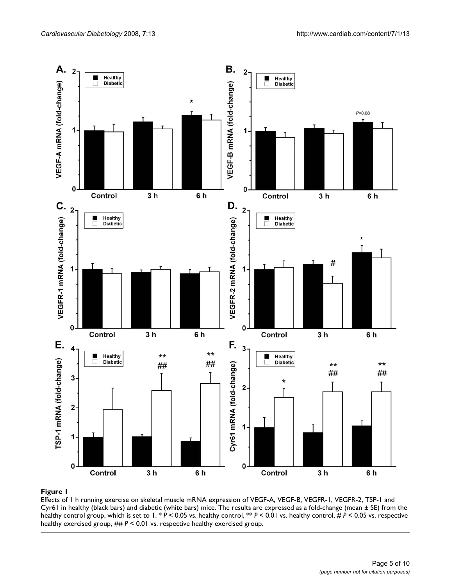

## Effects of 1 h running exercise on skeletal muscle mRNA Cyr61 in healthy (black bars) and diabetic (white bars) mice **Figure 1** expression of VEGF-A, VEGF-B, VEGFR-1, VEGFR-2, TSP-1 and

Effects of 1 h running exercise on skeletal muscle mRNA expression of VEGF-A, VEGF-B, VEGFR-1, VEGFR-2, TSP-1 and Cyr61 in healthy (black bars) and diabetic (white bars) mice. The results are expressed as a fold-change (mean  $\pm$  SE) from the healthy control group, which is set to 1. \* *P* < 0.05 vs. healthy control, \*\* *P* < 0.01 vs. healthy control, # *P* < 0.05 vs. respective healthy exercised group, ## *P* < 0.01 vs. respective healthy exercised group.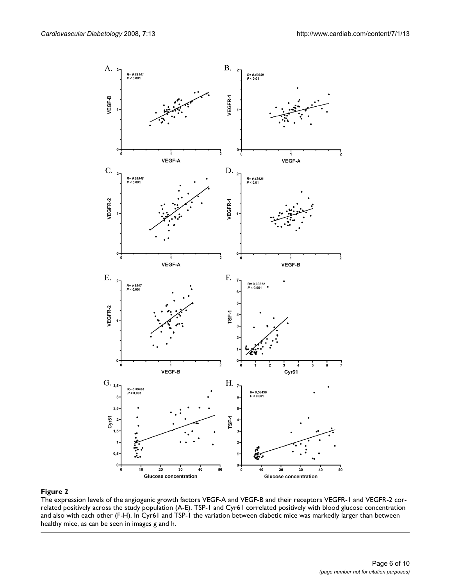

The expression levels of the angiogenic growth factors VEGF-A and VEGF-B and their receptors VEGFR-1 and VEGFR-2 correlated positively across the study population (A-E). TSP-1 and Cyr61 correlated positively with blood glucose concentration and also with each other (F-H). In Cyr61 and TSP-1 the variation between diabetic mice was markedly larger than between healthy mice, as can be seen in images g and h.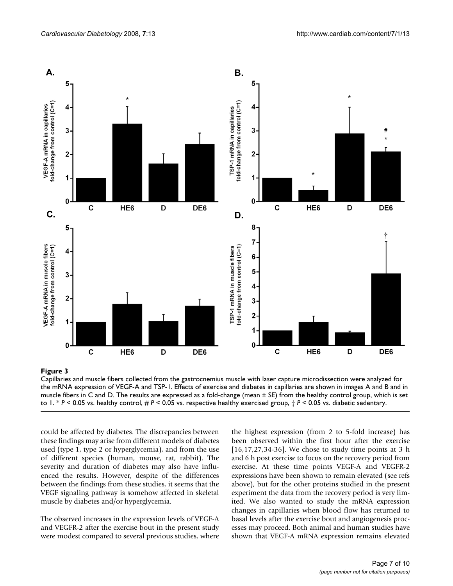

#### Capillaries and muscle fibers co the mRNA expression of VEGF-A and TSP-1 **Figure 3** llected from the gastrocnemius muscle with laser capture microdissection were analyzed for

Capillaries and muscle fibers collected from the gastrocnemius muscle with laser capture microdissection were analyzed for the mRNA expression of VEGF-A and TSP-1. Effects of exercise and diabetes in capillaries are shown in images A and B and in muscle fibers in C and D. The results are expressed as a fold-change (mean ± SE) from the healthy control group, which is set to 1. \* *P* < 0.05 vs. healthy control, # *P* < 0.05 vs. respective healthy exercised group, † *P* < 0.05 vs. diabetic sedentary.

could be affected by diabetes. The discrepancies between these findings may arise from different models of diabetes used (type 1, type 2 or hyperglycemia), and from the use of different species (human, mouse, rat, rabbit). The severity and duration of diabetes may also have influenced the results. However, despite of the differences between the findings from these studies, it seems that the VEGF signaling pathway is somehow affected in skeletal muscle by diabetes and/or hyperglycemia.

The observed increases in the expression levels of VEGF-A and VEGFR-2 after the exercise bout in the present study were modest compared to several previous studies, where the highest expression (from 2 to 5-fold increase) has been observed within the first hour after the exercise [16,17,27,34-36]. We chose to study time points at 3 h and 6 h post exercise to focus on the recovery period from exercise. At these time points VEGF-A and VEGFR-2 expressions have been shown to remain elevated (see refs above), but for the other proteins studied in the present experiment the data from the recovery period is very limited. We also wanted to study the mRNA expression changes in capillaries when blood flow has returned to basal levels after the exercise bout and angiogenesis processes may proceed. Both animal and human studies have shown that VEGF-A mRNA expression remains elevated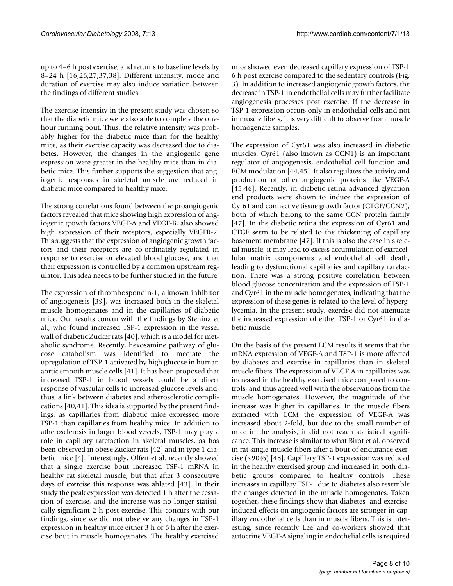up to 4–6 h post exercise, and returns to baseline levels by 8–24 h [16,26,27,37,38]. Different intensity, mode and duration of exercise may also induce variation between the findings of different studies.

The exercise intensity in the present study was chosen so that the diabetic mice were also able to complete the onehour running bout. Thus, the relative intensity was probably higher for the diabetic mice than for the healthy mice, as their exercise capacity was decreased due to diabetes. However, the changes in the angiogenic gene expression were greater in the healthy mice than in diabetic mice. This further supports the suggestion that angiogenic responses in skeletal muscle are reduced in diabetic mice compared to healthy mice.

The strong correlations found between the proangiogenic factors revealed that mice showing high expression of angiogenic growth factors VEGF-A and VEGF-B, also showed high expression of their receptors, especially VEGFR-2. This suggests that the expression of angiogenic growth factors and their receptors are co-ordinately regulated in response to exercise or elevated blood glucose, and that their expression is controlled by a common upstream regulator. This idea needs to be further studied in the future.

The expression of thrombospondin-1, a known inhibitor of angiogenesis [39], was increased both in the skeletal muscle homogenates and in the capillaries of diabetic mice. Our results concur with the findings by Stenina et al., who found increased TSP-1 expression in the vessel wall of diabetic Zucker rats [40], which is a model for metabolic syndrome. Recently, hexosamine pathway of glucose catabolism was identified to mediate the upregulation of TSP-1 activated by high glucose in human aortic smooth muscle cells [41]. It has been proposed that increased TSP-1 in blood vessels could be a direct response of vascular cells to increased glucose levels and, thus, a link between diabetes and atherosclerotic complications [40,41]. This idea is supported by the present findings, as capillaries from diabetic mice expressed more TSP-1 than capillaries from healthy mice. In addition to atherosclerosis in larger blood vessels, TSP-1 may play a role in capillary rarefaction in skeletal muscles, as has been observed in obese Zucker rats [42] and in type 1 diabetic mice [4]. Interestingly, Olfert et al. recently showed that a single exercise bout increased TSP-1 mRNA in healthy rat skeletal muscle, but that after 3 consecutive days of exercise this response was ablated [43]. In their study the peak expression was detected 1 h after the cessation of exercise, and the increase was no longer statistically significant 2 h post exercise. This concurs with our findings, since we did not observe any changes in TSP-1 expression in healthy mice either 3 h or 6 h after the exercise bout in muscle homogenates. The healthy exercised mice showed even decreased capillary expression of TSP-1 6 h post exercise compared to the sedentary controls (Fig. 3). In addition to increased angiogenic growth factors, the decrease in TSP-1 in endothelial cells may further facilitate angiogenesis processes post exercise. If the decrease in TSP-1 expression occurs only in endothelial cells and not in muscle fibers, it is very difficult to observe from muscle homogenate samples.

The expression of Cyr61 was also increased in diabetic muscles. Cyr61 (also known as CCN1) is an important regulator of angiogenesis, endothelial cell function and ECM modulation [44,45]. It also regulates the activity and production of other angiogenic proteins like VEGF-A [45,46]. Recently, in diabetic retina advanced glycation end products were shown to induce the expression of Cyr61 and connective tissue growth factor (CTGF/CCN2), both of which belong to the same CCN protein family [47]. In the diabetic retina the expression of Cyr61 and CTGF seem to be related to the thickening of capillary basement membrane [47]. If this is also the case in skeletal muscle, it may lead to excess accumulation of extracellular matrix components and endothelial cell death, leading to dysfunctional capillaries and capillary rarefaction. There was a strong positive correlation between blood glucose concentration and the expression of TSP-1 and Cyr61 in the muscle homogenates, indicating that the expression of these genes is related to the level of hyperglycemia. In the present study, exercise did not attenuate the increased expression of either TSP-1 or Cyr61 in diabetic muscle.

On the basis of the present LCM results it seems that the mRNA expression of VEGF-A and TSP-1 is more affected by diabetes and exercise in capillaries than in skeletal muscle fibers. The expression of VEGF-A in capillaries was increased in the healthy exercised mice compared to controls, and thus agreed well with the observations from the muscle homogenates. However, the magnitude of the increase was higher in capillaries. In the muscle fibers extracted with LCM the expression of VEGF-A was increased about 2-fold, but due to the small number of mice in the analysis, it did not reach statistical significance. This increase is similar to what Birot et al. observed in rat single muscle fibers after a bout of endurance exercise (~90%) [48]. Capillary TSP-1 expression was reduced in the healthy exercised group and increased in both diabetic groups compared to healthy controls. These increases in capillary TSP-1 due to diabetes also resemble the changes detected in the muscle homogenates. Taken together, these findings show that diabetes- and exerciseinduced effects on angiogenic factors are stronger in capillary endothelial cells than in muscle fibers. This is interesting, since recently Lee and co-workers showed that autocrine VEGF-A signaling in endothelial cells is required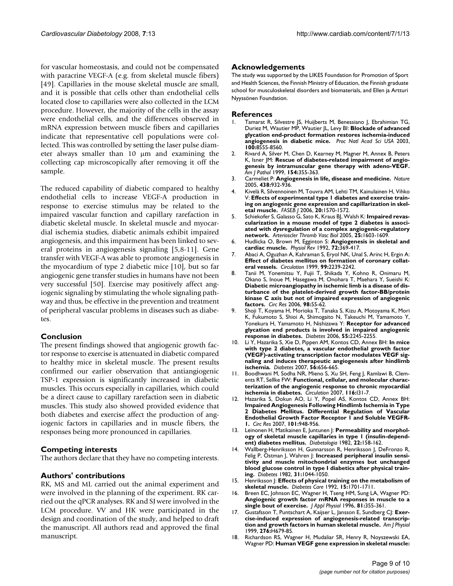for vascular homeostasis, and could not be compensated with paracrine VEGF-A (e.g. from skeletal muscle fibers) [49]. Capillaries in the mouse skeletal muscle are small, and it is possible that cells other than endothelial cells located close to capillaries were also collected in the LCM procedure. However, the majority of the cells in the assay were endothelial cells, and the differences observed in mRNA expression between muscle fibers and capillaries indicate that representative cell populations were collected. This was controlled by setting the laser pulse diameter always smaller than 10 μm and examining the collecting cap microscopically after removing it off the sample.

The reduced capability of diabetic compared to healthy endothelial cells to increase VEGF-A production in response to exercise stimulus may be related to the impaired vascular function and capillary rarefaction in diabetic skeletal muscle. In skeletal muscle and myocardial ischemia studies, diabetic animals exhibit impaired angiogenesis, and this impairment has been linked to several proteins in angiogenesis signaling [5,8-11]. Gene transfer with VEGF-A was able to promote angiogenesis in the myocardium of type 2 diabetic mice [10], but so far angiogenic gene transfer studies in humans have not been very successful [50]. Exercise may positively affect angiogenic signaling by stimulating the whole signaling pathway and thus, be effective in the prevention and treatment of peripheral vascular problems in diseases such as diabetes.

### **Conclusion**

The present findings showed that angiogenic growth factor response to exercise is attenuated in diabetic compared to healthy mice in skeletal muscle. The present results confirmed our earlier observation that antiangiogenic TSP-1 expression is significantly increased in diabetic muscles. This occurs especially in capillaries, which could be a direct cause to capillary rarefaction seen in diabetic muscles. This study also showed provided evidence that both diabetes and exercise affect the production of angiogenic factors in capillaries and in muscle fibers, the responses being more pronounced in capillaries.

### **Competing interests**

The authors declare that they have no competing interests.

### **Authors' contributions**

RK, MS and ML carried out the animal experiment and were involved in the planning of the experiment. RK carried out the qPCR analyses. RK and SJ were involved in the LCM procedure. VV and HK were participated in the design and coordination of the study, and helped to draft the manuscript. All authors read and approved the final manuscript.

### **Acknowledgements**

The study was supported by the LIKES Foundation for Promotion of Sport and Health Sciences, the Finnish Ministry of Education, the Finnish graduate school for musculoskeletal disorders and biomaterials, and Ellen ja Artturi Nyyssönen Foundation.

#### **References**

- Tamarat R, Silvestre JS, Huijberts M, Benessiano J, Ebrahimian TG, Duriez M, Wautier MP, Wautier JL, Levy BI: **[Blockade of advanced](http://www.ncbi.nlm.nih.gov/entrez/query.fcgi?cmd=Retrieve&db=PubMed&dopt=Abstract&list_uids=12805564) [glycation end-product formation restores ischemia-induced](http://www.ncbi.nlm.nih.gov/entrez/query.fcgi?cmd=Retrieve&db=PubMed&dopt=Abstract&list_uids=12805564) [angiogenesis in diabetic mice.](http://www.ncbi.nlm.nih.gov/entrez/query.fcgi?cmd=Retrieve&db=PubMed&dopt=Abstract&list_uids=12805564)** *Proc Natl Acad Sci USA* 2003, **100:**8555-8560.
- 2. Rivard A, Silver M, Chen D, Kearney M, Magner M, Annex B, Peters K, Isner JM: **[Rescue of diabetes-related impairment of angio](http://www.ncbi.nlm.nih.gov/entrez/query.fcgi?cmd=Retrieve&db=PubMed&dopt=Abstract&list_uids=10027394)[genesis by intramuscular gene therapy with adeno-VEGF.](http://www.ncbi.nlm.nih.gov/entrez/query.fcgi?cmd=Retrieve&db=PubMed&dopt=Abstract&list_uids=10027394)** *Am J Pathol* 1999, **154:**355-363.
- 3. Carmeliet P: **[Angiogenesis in life, disease and medicine.](http://www.ncbi.nlm.nih.gov/entrez/query.fcgi?cmd=Retrieve&db=PubMed&dopt=Abstract&list_uids=16355210)** *Nature* 2005, **438:**932-936.
- 4. Kivelä R, Silvennoinen M, Touvra AM, Lehti TM, Kainulainen H, Vihko V: **[Effects of experimental type 1 diabetes and exercise train](http://www.ncbi.nlm.nih.gov/entrez/query.fcgi?cmd=Retrieve&db=PubMed&dopt=Abstract&list_uids=16816123)[ing on angiogenic gene expression and capillarization in skel](http://www.ncbi.nlm.nih.gov/entrez/query.fcgi?cmd=Retrieve&db=PubMed&dopt=Abstract&list_uids=16816123)[etal muscle.](http://www.ncbi.nlm.nih.gov/entrez/query.fcgi?cmd=Retrieve&db=PubMed&dopt=Abstract&list_uids=16816123)** *FASEB J* 2006, **20:**1570-1572.
- 5. Schiekofer S, Galasso G, Sato K, Kraus BJ, Walsh K: **[Impaired revas](http://www.ncbi.nlm.nih.gov/entrez/query.fcgi?cmd=Retrieve&db=PubMed&dopt=Abstract&list_uids=15920034)cularization in a mouse model of type 2 diabetes is associ[ated with dysregulation of a complex angiogenic-regulatory](http://www.ncbi.nlm.nih.gov/entrez/query.fcgi?cmd=Retrieve&db=PubMed&dopt=Abstract&list_uids=15920034) [network.](http://www.ncbi.nlm.nih.gov/entrez/query.fcgi?cmd=Retrieve&db=PubMed&dopt=Abstract&list_uids=15920034)** *Arterioscler Thromb Vasc Biol* 2005, **25:**1603-1609.
- 6. Hudlicka O, Brown M, Egginton S: **[Angiogenesis in skeletal and](http://www.ncbi.nlm.nih.gov/entrez/query.fcgi?cmd=Retrieve&db=PubMed&dopt=Abstract&list_uids=1372998) [cardiac muscle.](http://www.ncbi.nlm.nih.gov/entrez/query.fcgi?cmd=Retrieve&db=PubMed&dopt=Abstract&list_uids=1372998)** *Physiol Rev* 1992, **72:**369-417.
- 7. Abaci A, Oguzhan A, Kahraman S, Eryol NK, Unal S, Arinc H, Ergin A: **[Effect of diabetes mellitus on formation of coronary collat](http://www.ncbi.nlm.nih.gov/entrez/query.fcgi?cmd=Retrieve&db=PubMed&dopt=Abstract&list_uids=10226087)[eral vessels.](http://www.ncbi.nlm.nih.gov/entrez/query.fcgi?cmd=Retrieve&db=PubMed&dopt=Abstract&list_uids=10226087)** *Circulation* 1999, **99:**2239-2242.
- 8. Tanii M, Yonemitsu Y, Fujii T, Shikada Y, Kohno R, Onimaru M, Okano S, Inoue M, Hasegawa M, Onohara T, Maehara Y, Sueishi K: **Diabetic microangiopathy in ischemic limb is a disease of dis[turbance of the platelet-derived growth factor-BB/protein](http://www.ncbi.nlm.nih.gov/entrez/query.fcgi?cmd=Retrieve&db=PubMed&dopt=Abstract&list_uids=16306442) kinase C axis but not of impaired expression of angiogenic [factors.](http://www.ncbi.nlm.nih.gov/entrez/query.fcgi?cmd=Retrieve&db=PubMed&dopt=Abstract&list_uids=16306442)** *Circ Res* 2006, **98:**55-62.
- 9. Shoji T, Koyama H, Morioka T, Tanaka S, Kizu A, Motoyama K, Mori K, Fukumoto S, Shioi A, Shimogaito N, Takeuchi M, Yamamoto Y, Yonekura H, Yamamoto H, Nishizawa Y: **[Receptor for advanced](http://www.ncbi.nlm.nih.gov/entrez/query.fcgi?cmd=Retrieve&db=PubMed&dopt=Abstract&list_uids=16873687) [glycation end products is involved in impaired angiogenic](http://www.ncbi.nlm.nih.gov/entrez/query.fcgi?cmd=Retrieve&db=PubMed&dopt=Abstract&list_uids=16873687) [response in diabetes.](http://www.ncbi.nlm.nih.gov/entrez/query.fcgi?cmd=Retrieve&db=PubMed&dopt=Abstract&list_uids=16873687)** *Diabetes* 2006, **55:**2245-2255.
- 10. Li Y, Hazarika S, Xie D, Pippen AM, Kontos CD, Annex BH: **[In mice](http://www.ncbi.nlm.nih.gov/entrez/query.fcgi?cmd=Retrieve&db=PubMed&dopt=Abstract&list_uids=17327433) with type 2 diabetes, a vascular endothelial growth factor (VEGF)-activating transcription factor modulates VEGF sig[naling and induces therapeutic angiogenesis after hindlimb](http://www.ncbi.nlm.nih.gov/entrez/query.fcgi?cmd=Retrieve&db=PubMed&dopt=Abstract&list_uids=17327433) [ischemia.](http://www.ncbi.nlm.nih.gov/entrez/query.fcgi?cmd=Retrieve&db=PubMed&dopt=Abstract&list_uids=17327433)** *Diabetes* 2007, **56:**656-665.
- 11. Boodhwani M, Sodha NR, Mieno S, Xu SH, Feng J, Ramlawi B, Clements RT, Sellke FW: **[Functional, cellular, and molecular charac](http://www.ncbi.nlm.nih.gov/entrez/query.fcgi?cmd=Retrieve&db=PubMed&dopt=Abstract&list_uids=17846323)[terization of the angiogenic response to chronic myocardial](http://www.ncbi.nlm.nih.gov/entrez/query.fcgi?cmd=Retrieve&db=PubMed&dopt=Abstract&list_uids=17846323) [ischemia in diabetes.](http://www.ncbi.nlm.nih.gov/entrez/query.fcgi?cmd=Retrieve&db=PubMed&dopt=Abstract&list_uids=17846323)** *Circulation* 2007, **116:**I31-7.
- 12. Hazarika S, Dokun AO, Li Y, Popel AS, Kontos CD, Annex BH: **Impaired Angiogenesis Following Hindlimb Ischemia in Type 2 Diabetes Mellitus. Differential Regulation of Vascular [Endothelial Growth Factor Receptor 1 and Soluble VEGFR-](http://www.ncbi.nlm.nih.gov/entrez/query.fcgi?cmd=Retrieve&db=PubMed&dopt=Abstract&list_uids=17823371)[1.](http://www.ncbi.nlm.nih.gov/entrez/query.fcgi?cmd=Retrieve&db=PubMed&dopt=Abstract&list_uids=17823371)** *Circ Res* 2007, **101:**948-956.
- 13. Leinonen H, Matikainen E, Juntunen J: **[Permeability and morphol](http://www.ncbi.nlm.nih.gov/entrez/query.fcgi?cmd=Retrieve&db=PubMed&dopt=Abstract&list_uids=7075916)[ogy of skeletal muscle capillaries in type 1 \(insulin-depend](http://www.ncbi.nlm.nih.gov/entrez/query.fcgi?cmd=Retrieve&db=PubMed&dopt=Abstract&list_uids=7075916)[ent\) diabetes mellitus.](http://www.ncbi.nlm.nih.gov/entrez/query.fcgi?cmd=Retrieve&db=PubMed&dopt=Abstract&list_uids=7075916)** *Diabetologia* 1982, **22:**158-162.
- 14. Wallberg-Henriksson H, Gunnarsson R, Henriksson J, DeFronzo R, Felig P, Ostman J, Wahren J: **[Increased peripheral insulin sensi](http://www.ncbi.nlm.nih.gov/entrez/query.fcgi?cmd=Retrieve&db=PubMed&dopt=Abstract&list_uids=6757018)tivity and muscle mitochondrial enzymes but unchanged [blood glucose control in type I diabetics after physical train](http://www.ncbi.nlm.nih.gov/entrez/query.fcgi?cmd=Retrieve&db=PubMed&dopt=Abstract&list_uids=6757018)[ing.](http://www.ncbi.nlm.nih.gov/entrez/query.fcgi?cmd=Retrieve&db=PubMed&dopt=Abstract&list_uids=6757018)** *Diabetes* 1982, **31:**1044-1050.
- 15. Henriksson J: **[Effects of physical training on the metabolism of](http://www.ncbi.nlm.nih.gov/entrez/query.fcgi?cmd=Retrieve&db=PubMed&dopt=Abstract&list_uids=1468304) [skeletal muscle.](http://www.ncbi.nlm.nih.gov/entrez/query.fcgi?cmd=Retrieve&db=PubMed&dopt=Abstract&list_uids=1468304)** *Diabetes Care* 1992, **15:**1701-1711.
- 16. Breen EC, Johnson EC, Wagner H, Tseng HM, Sung LA, Wagner PD: **[Angiogenic growth factor mRNA responses in muscle to a](http://www.ncbi.nlm.nih.gov/entrez/query.fcgi?cmd=Retrieve&db=PubMed&dopt=Abstract&list_uids=8828685) [single bout of exercise.](http://www.ncbi.nlm.nih.gov/entrez/query.fcgi?cmd=Retrieve&db=PubMed&dopt=Abstract&list_uids=8828685)** *J Appl Physiol* 1996, **81:**355-361.
- 17. Gustafsson T, Puntschart A, Kaijser L, Jansson E, Sundberg CJ: **[Exer](http://www.ncbi.nlm.nih.gov/entrez/query.fcgi?cmd=Retrieve&db=PubMed&dopt=Abstract&list_uids=9950871)[cise-induced expression of angiogenesis-related transcrip](http://www.ncbi.nlm.nih.gov/entrez/query.fcgi?cmd=Retrieve&db=PubMed&dopt=Abstract&list_uids=9950871)[tion and growth factors in human skeletal muscle.](http://www.ncbi.nlm.nih.gov/entrez/query.fcgi?cmd=Retrieve&db=PubMed&dopt=Abstract&list_uids=9950871)** *Am J Physiol* 1999, **276:**H679-85.
- 18. Richardson RS, Wagner H, Mudaliar SR, Henry R, Noyszewski EA, Wagner PD: **[Human VEGF gene expression in skeletal muscle:](http://www.ncbi.nlm.nih.gov/entrez/query.fcgi?cmd=Retrieve&db=PubMed&dopt=Abstract&list_uids=10600843)**